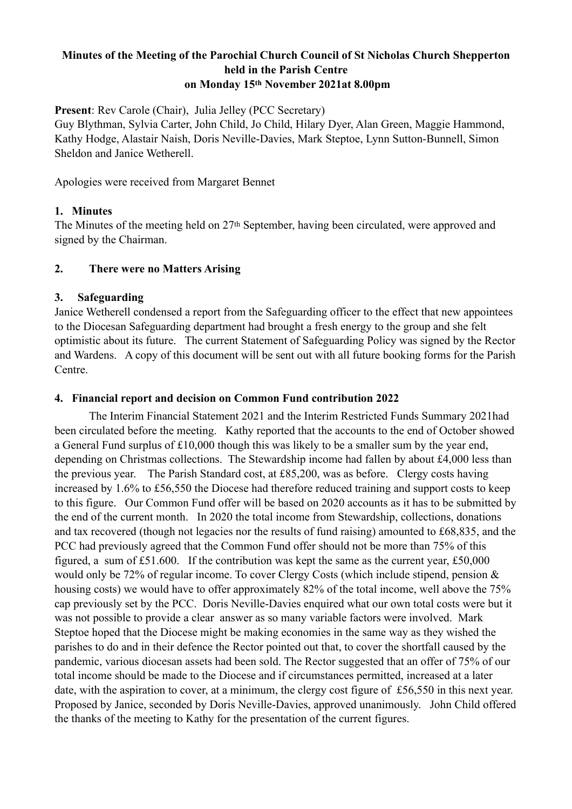# **Minutes of the Meeting of the Parochial Church Council of St Nicholas Church Shepperton held in the Parish Centre on Monday 15th November 2021at 8.00pm**

**Present**: Rev Carole (Chair), Julia Jelley (PCC Secretary)

Guy Blythman, Sylvia Carter, John Child, Jo Child, Hilary Dyer, Alan Green, Maggie Hammond, Kathy Hodge, Alastair Naish, Doris Neville-Davies, Mark Steptoe, Lynn Sutton-Bunnell, Simon Sheldon and Janice Wetherell.

Apologies were received from Margaret Bennet

# **1. Minutes**

The Minutes of the meeting held on 27<sup>th</sup> September, having been circulated, were approved and signed by the Chairman.

### **2. There were no Matters Arising**

### **3. Safeguarding**

Janice Wetherell condensed a report from the Safeguarding officer to the effect that new appointees to the Diocesan Safeguarding department had brought a fresh energy to the group and she felt optimistic about its future. The current Statement of Safeguarding Policy was signed by the Rector and Wardens. A copy of this document will be sent out with all future booking forms for the Parish Centre.

# **4. Financial report and decision on Common Fund contribution 2022**

The Interim Financial Statement 2021 and the Interim Restricted Funds Summary 2021had been circulated before the meeting. Kathy reported that the accounts to the end of October showed a General Fund surplus of £10,000 though this was likely to be a smaller sum by the year end, depending on Christmas collections. The Stewardship income had fallen by about £4,000 less than the previous year. The Parish Standard cost, at £85,200, was as before. Clergy costs having increased by 1.6% to £56,550 the Diocese had therefore reduced training and support costs to keep to this figure. Our Common Fund offer will be based on 2020 accounts as it has to be submitted by the end of the current month. In 2020 the total income from Stewardship, collections, donations and tax recovered (though not legacies nor the results of fund raising) amounted to £68,835, and the PCC had previously agreed that the Common Fund offer should not be more than 75% of this figured, a sum of £51.600. If the contribution was kept the same as the current year, £50,000 would only be 72% of regular income. To cover Clergy Costs (which include stipend, pension & housing costs) we would have to offer approximately 82% of the total income, well above the 75% cap previously set by the PCC. Doris Neville-Davies enquired what our own total costs were but it was not possible to provide a clear answer as so many variable factors were involved. Mark Steptoe hoped that the Diocese might be making economies in the same way as they wished the parishes to do and in their defence the Rector pointed out that, to cover the shortfall caused by the pandemic, various diocesan assets had been sold. The Rector suggested that an offer of 75% of our total income should be made to the Diocese and if circumstances permitted, increased at a later date, with the aspiration to cover, at a minimum, the clergy cost figure of £56,550 in this next year. Proposed by Janice, seconded by Doris Neville-Davies, approved unanimously. John Child offered the thanks of the meeting to Kathy for the presentation of the current figures.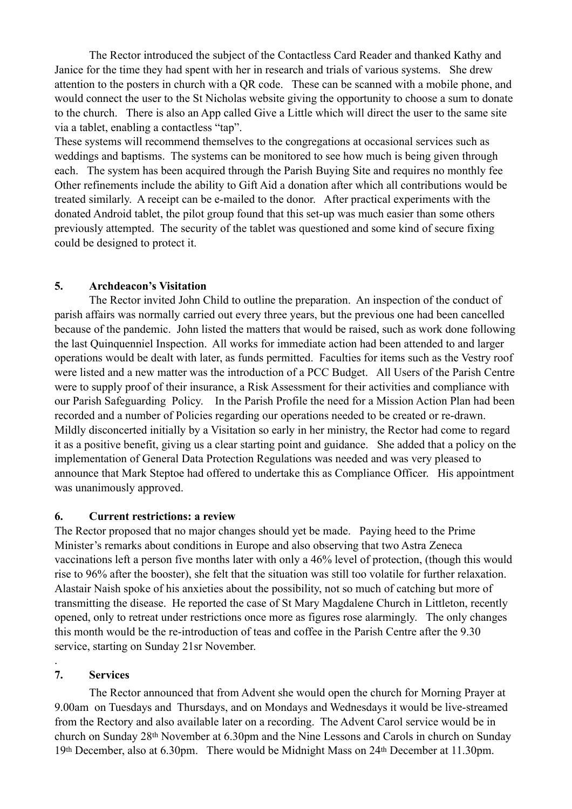The Rector introduced the subject of the Contactless Card Reader and thanked Kathy and Janice for the time they had spent with her in research and trials of various systems. She drew attention to the posters in church with a QR code. These can be scanned with a mobile phone, and would connect the user to the St Nicholas website giving the opportunity to choose a sum to donate to the church. There is also an App called Give a Little which will direct the user to the same site via a tablet, enabling a contactless "tap".

These systems will recommend themselves to the congregations at occasional services such as weddings and baptisms. The systems can be monitored to see how much is being given through each. The system has been acquired through the Parish Buying Site and requires no monthly fee Other refinements include the ability to Gift Aid a donation after which all contributions would be treated similarly. A receipt can be e-mailed to the donor. After practical experiments with the donated Android tablet, the pilot group found that this set-up was much easier than some others previously attempted. The security of the tablet was questioned and some kind of secure fixing could be designed to protect it.

### **5. Archdeacon's Visitation**

The Rector invited John Child to outline the preparation. An inspection of the conduct of parish affairs was normally carried out every three years, but the previous one had been cancelled because of the pandemic. John listed the matters that would be raised, such as work done following the last Quinquenniel Inspection. All works for immediate action had been attended to and larger operations would be dealt with later, as funds permitted. Faculties for items such as the Vestry roof were listed and a new matter was the introduction of a PCC Budget. All Users of the Parish Centre were to supply proof of their insurance, a Risk Assessment for their activities and compliance with our Parish Safeguarding Policy. In the Parish Profile the need for a Mission Action Plan had been recorded and a number of Policies regarding our operations needed to be created or re-drawn. Mildly disconcerted initially by a Visitation so early in her ministry, the Rector had come to regard it as a positive benefit, giving us a clear starting point and guidance. She added that a policy on the implementation of General Data Protection Regulations was needed and was very pleased to announce that Mark Steptoe had offered to undertake this as Compliance Officer. His appointment was unanimously approved.

# **6. Current restrictions: a review**

The Rector proposed that no major changes should yet be made. Paying heed to the Prime Minister's remarks about conditions in Europe and also observing that two Astra Zeneca vaccinations left a person five months later with only a 46% level of protection, (though this would rise to 96% after the booster), she felt that the situation was still too volatile for further relaxation. Alastair Naish spoke of his anxieties about the possibility, not so much of catching but more of transmitting the disease. He reported the case of St Mary Magdalene Church in Littleton, recently opened, only to retreat under restrictions once more as figures rose alarmingly. The only changes this month would be the re-introduction of teas and coffee in the Parish Centre after the 9.30 service, starting on Sunday 21sr November.

# **7. Services**

.

The Rector announced that from Advent she would open the church for Morning Prayer at 9.00am on Tuesdays and Thursdays, and on Mondays and Wednesdays it would be live-streamed from the Rectory and also available later on a recording. The Advent Carol service would be in church on Sunday 28th November at 6.30pm and the Nine Lessons and Carols in church on Sunday 19th December, also at 6.30pm. There would be Midnight Mass on 24th December at 11.30pm.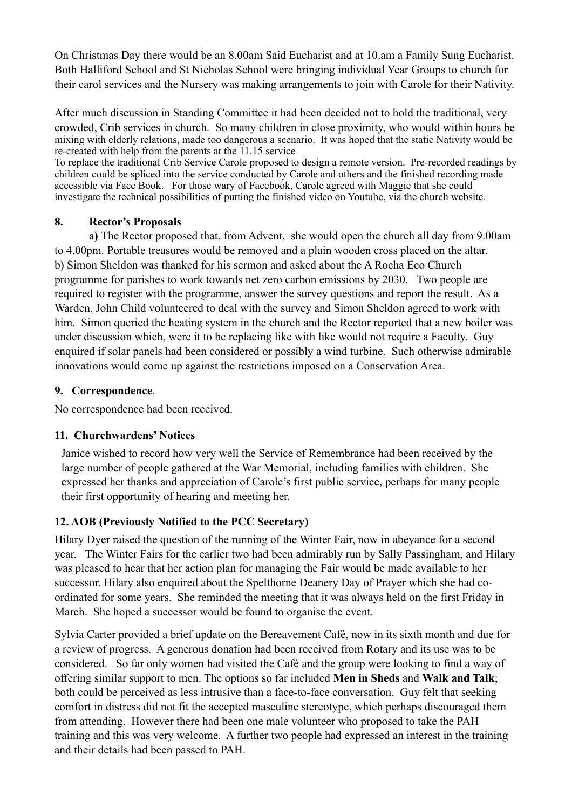On Christmas Day there would be an 8.00am Said Eucharist and at 10.am a Family Sung Eucharist. Both Halliford School and St Nicholas School were bringing individual Year Groups to church for their carol services and the Nursery was making arrangements to join with Carole for their Nativity.

After much discussion in Standing Committee it had been decided not to hold the traditional, very crowded, Crib services in church. So many children in close proximity, who would within hours be mixing with elderly relations, made too dangerous a scenario. It was hoped that the static Nativity would be re-created with help from the parents at the 11.15 service

To replace the traditional Crib Service Carole proposed to design a remote version. Pre-recorded readings by children could be spliced into the service conducted by Carole and others and the finished recording made accessible via Face Book. For those wary of Facebook, Carole agreed with Maggie that she could investigate the technical possibilities of putting the finished video on Youtube, via the church website.

#### **8. Rector's Proposals**

a**)** The Rector proposed that, from Advent, she would open the church all day from 9.00am to 4.00pm. Portable treasures would be removed and a plain wooden cross placed on the altar. b) Simon Sheldon was thanked for his sermon and asked about the A Rocha Eco Church programme for parishes to work towards net zero carbon emissions by 2030. Two people are required to register with the programme, answer the survey questions and report the result. As a Warden, John Child volunteered to deal with the survey and Simon Sheldon agreed to work with him. Simon queried the heating system in the church and the Rector reported that a new boiler was under discussion which, were it to be replacing like with like would not require a Faculty. Guy enquired if solar panels had been considered or possibly a wind turbine. Such otherwise admirable innovations would come up against the restrictions imposed on a Conservation Area.

#### **9. Correspondence**.

No correspondence had been received.

#### **11. Churchwardens' Notices**

Janice wished to record how very well the Service of Remembrance had been received by the large number of people gathered at the War Memorial, including families with children. She expressed her thanks and appreciation of Carole's first public service, perhaps for many people their first opportunity of hearing and meeting her.

#### **12. AOB (Previously Notified to the PCC Secretary)**

Hilary Dyer raised the question of the running of the Winter Fair, now in abeyance for a second year. The Winter Fairs for the earlier two had been admirably run by Sally Passingham, and Hilary was pleased to hear that her action plan for managing the Fair would be made available to her successor. Hilary also enquired about the Spelthorne Deanery Day of Prayer which she had coordinated for some years. She reminded the meeting that it was always held on the first Friday in March. She hoped a successor would be found to organise the event.

Sylvia Carter provided a brief update on the Bereavement Café, now in its sixth month and due for a review of progress. A generous donation had been received from Rotary and its use was to be considered. So far only women had visited the Café and the group were looking to find a way of offering similar support to men. The options so far included **Men in Sheds** and **Walk and Talk**; both could be perceived as less intrusive than a face-to-face conversation. Guy felt that seeking comfort in distress did not fit the accepted masculine stereotype, which perhaps discouraged them from attending. However there had been one male volunteer who proposed to take the PAH training and this was very welcome. A further two people had expressed an interest in the training and their details had been passed to PAH.